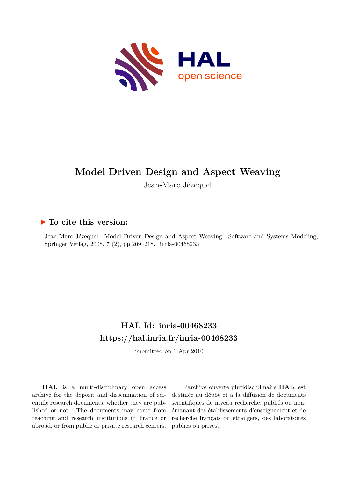

# **Model Driven Design and Aspect Weaving**

Jean-Marc Jézéquel

# **To cite this version:**

Jean-Marc Jézéquel. Model Driven Design and Aspect Weaving. Software and Systems Modeling, Springer Verlag, 2008, 7 (2), pp.209-218. inria-00468233

# **HAL Id: inria-00468233 <https://hal.inria.fr/inria-00468233>**

Submitted on 1 Apr 2010

**HAL** is a multi-disciplinary open access archive for the deposit and dissemination of scientific research documents, whether they are published or not. The documents may come from teaching and research institutions in France or abroad, or from public or private research centers.

L'archive ouverte pluridisciplinaire **HAL**, est destinée au dépôt et à la diffusion de documents scientifiques de niveau recherche, publiés ou non, émanant des établissements d'enseignement et de recherche français ou étrangers, des laboratoires publics ou privés.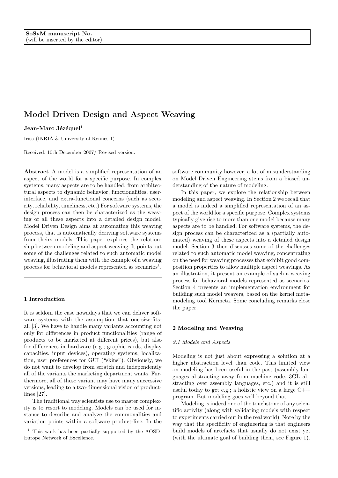# **Model Driven Design and Aspect Weaving**

# Jean-Marc Jézéquel<sup>1</sup>

Irisa (INRIA & University of Rennes 1)

Received: 10th December 2007/ Revised version:

**Abstract** A model is a simplified representation of an aspect of the world for a specific purpose. In complex systems, many aspects are to be handled, from architectural aspects to dynamic behavior, functionalities, userinterface, and extra-functional concerns (such as security, reliability, timeliness, etc.) For software systems, the design process can then be characterized as the weaving of all these aspects into a detailed design model. Model Driven Design aims at automating this weaving process, that is automatically deriving software systems from theirs models. This paper explores the relationship between modeling and aspect weaving. It points out some of the challenges related to such automatic model weaving, illustrating them with the example of a weaving process for behavioral models represented as scenarios<sup>1</sup>.

### **1 Introduction**

It is seldom the case nowadays that we can deliver software systems with the assumption that one-size-fitsall [3]. We have to handle many variants accounting not only for differences in product functionalities (range of products to be marketed at different prices), but also for differences in hardware (e.g.; graphic cards, display capacities, input devices), operating systems, localization, user preferences for GUI ("skins"). Obviously, we do not want to develop from scratch and independently all of the variants the marketing department wants. Furthermore, all of these variant may have many successive versions, leading to a two-dimensional vision of productlines [27].

The traditional way scientists use to master complexity is to resort to modeling. Models can be used for instance to describe and analyze the commonalities and variation points within a software product-line. In the software community however, a lot of misunderstanding on Model Driven Engineering stems from a biased understanding of the nature of modeling.

In this paper, we explore the relationship between modeling and aspect weaving. In Section 2 we recall that a model is indeed a simplified representation of an aspect of the world for a specific purpose. Complex systems typically give rise to more than one model because many aspects are to be handled. For software systems, the design process can be characterized as a (partially automated) weaving of these aspects into a detailed design model. Section 3 then discusses some of the challenges related to such automatic model weaving, concentrating on the need for weaving processes that exhibit good composition properties to allow multiple aspect weavings. As an illustration, it present an example of such a weaving process for behavioral models represented as scenarios. Section 4 presents an implementation environment for building such model weavers, based on the kernel metamodeling tool Kermeta. Some concluding remarks close the paper.

## **2 Modeling and Weaving**

#### *2.1 Models and Aspects*

Modeling is not just about expressing a solution at a higher abstraction level than code. This limited view on modeling has been useful in the past (assembly languages abstracting away from machine code, 3GL abstracting over assembly languages, etc.) and it is still useful today to get e.g.; a holistic view on a large  $C++$ program. But modeling goes well beyond that.

Modeling is indeed one of the touchstone of any scientific activity (along with validating models with respect to experiments carried out in the real world). Note by the way that the specificity of engineering is that engineers build models of artefacts that usually do not exist yet (with the ultimate goal of building them, see Figure 1).

<sup>1</sup> This work has been partially supported by the AOSD-Europe Network of Excellence.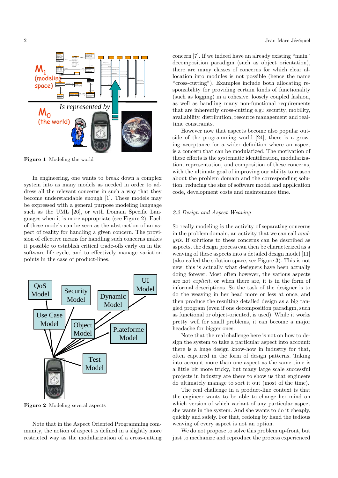

**Figure 1** Modeling the world

In engineering, one wants to break down a complex system into as many models as needed in order to address all the relevant concerns in such a way that they become understandable enough [1]. These models may be expressed with a general purpose modeling language such as the UML [26], or with Domain Specific Languages when it is more appropriate (see Figure 2). Each of these models can be seen as the abstraction of an aspect of reality for handling a given concern. The provision of effective means for handling such concerns makes it possible to establish critical trade-offs early on in the software life cycle, and to effectively manage variation points in the case of product-lines.



**Figure 2** Modeling several aspects

Note that in the Aspect Oriented Programming community, the notion of aspect is defined in a slightly more restricted way as the modularization of a cross-cutting concern [7]. If we indeed have an already existing "main" decomposition paradigm (such as object orientation), there are many classes of concerns for which clear allocation into modules is not possible (hence the name "cross-cutting"). Examples include both allocating responsibility for providing certain kinds of functionality (such as logging) in a cohesive, loosely coupled fashion, as well as handling many non-functional requirements that are inherently cross-cutting e.g.; security, mobility, availability, distribution, resource management and realtime constraints.

However now that aspects become also popular outside of the programming world [24], there is a growing acceptance for a wider definition where an aspect is a concern that can be modularized. The motivation of these efforts is the systematic identification, modularization, representation, and composition of these concerns, with the ultimate goal of improving our ability to reason about the problem domain and the corresponding solution, reducing the size of software model and application code, development costs and maintenance time.

### *2.2 Design and Aspect Weaving*

So really modeling is the activity of separating concerns in the problem domain, an activity that we can call *analysis*. If solutions to these concerns can be described as aspects, the design process can then be characterized as a weaving of these aspects into a detailed design model [11] (also called the solution space, see Figure 3). This is not new: this is actually what designers have been actually doing forever. Most often however, the various aspects are not *explicit*, or when there are, it is in the form of informal descriptions. So the task of the designer is to do the weaving in her head more or less at once, and then produce the resulting detailed design as a big tangled program (even if one decomposition paradigm, such as functional or object-oriented, is used). While it works pretty well for small problems, it can become a major headache for bigger ones.

Note that the real challenge here is not on how to design the system to take a particular aspect into account: there is a huge design know-how in industry for that, often captured in the form of design patterns. Taking into account more than one aspect as the same time is a little bit more tricky, but many large scale successful projects in industry are there to show us that engineers do ultimately manage to sort it out (most of the time).

The real challenge in a product-line context is that the engineer wants to be able to change her mind on which version of which variant of any particular aspect she wants in the system. And she wants to do it cheaply, quickly and safely. For that, redoing by hand the tedious weaving of every aspect is not an option.

We do not propose to solve this problem up-front, but just to mechanize and reproduce the process experienced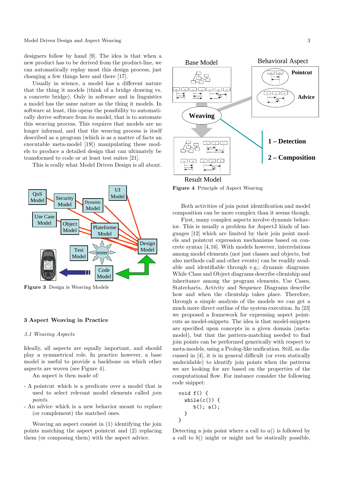designers follow by hand [9]. The idea is that when a new product has to be derived from the product-line, we can automatically replay most this design process, just changing a few things here and there [17].

Usually in science, a model has a different nature that the thing it models (think of a bridge drawing vs. a concrete bridge). Only in software and in linguistics a model has the same nature as the thing it models. In software at least, this opens the possibility to automatically derive software from its model, that is to automate this weaving process. This requires that models are no longer informal, and that the weaving process is itself described as a program (which is as a matter of facts an executable meta-model [19]) manipulating these models to produce a detailed design that can ultimately be transformed to code or at least test suites [21].

This is really what Model Driven Design is all about.



**Figure 3** Design is Weaving Models

#### **3 Aspect Weaving in Practice**

#### *3.1 Weaving Aspects*

Ideally, all aspects are equally important, and should play a symmetrical role. In practice however, a base model is useful to provide a backbone on which other aspects are woven (see Figure 4).

An aspect is then made of:

- A pointcut which is a predicate over a model that is used to select relevant model elements called *join points*.
- An advice which is a new behavior meant to replace (or complement) the matched ones.

Weaving an aspect consist in (1) identifying the join points matching the aspect pointcut and (2) replacing them (or composing them) with the aspect advice.



**Figure 4** Principle of Aspect Weaving

Both activities of join point identification and model composition can be more complex than it seems though.

First, many complex aspects involve dynamic behavior. This is usually a problem for AspectJ kinds of languages [12] which are limited by their join point models and pointcut expression mechanisms based on concrete syntax [4,16]. With models however, interrelations among model elements (not just classes and objects, but also methods call and other events) can be readily available and identifiable through e.g.; dynamic diagrams. While Class and Object diagrams describe clientship and inheritance among the program elements, Use Cases, Statecharts, Activity and Sequence Diagrams describe how and when the clientship takes place. Therefore, through a simple analysis of the models we can get a much more direct outline of the system execution. In [23] we proposed a framework for expressing aspect pointcuts as model-snippets. The idea is that model-snippets are specified upon concepts in a given domain (metamodel), but that the pattern-matching needed to find join points can be performed generically with respect to meta-models, using a Prolog-like unification. Still, as discussed in [4], it is in general difficult (or even statically undecidable) to identify join points when the patterns we are looking for are based on the properties of the computational flow. For instance consider the following code snippet:

void f() { while(c()) { b(); a(); } }

Detecting a join point where a call to  $a()$  is followed by a call to  $b()$  might or might not be statically possible,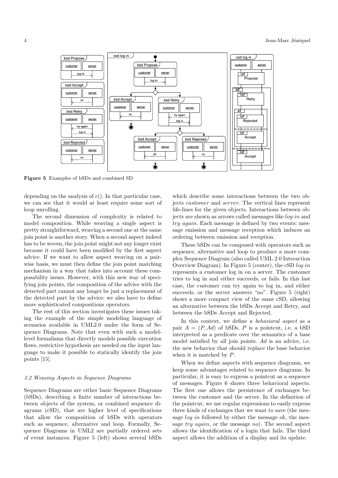

**Figure 5** Examples of bSDs and combined SD

depending on the analysis of  $c()$ . In that particular case, we can see that it would at least require some sort of loop unrolling.

The second dimension of complexity is related to model composition. While weaving a single aspect is pretty straightforward, weaving a second one at the same join point is another story. When a second aspect indeed has to be woven, the join point might not any longer exist because it could have been modified by the first aspect advice. If we want to allow aspect weaving on a pairwise basis, we must then define the join point matching mechanism in a way that takes into account these composability issues. However, with this new way of specifying join points, the composition of the advice with the detected part cannot any longer be just a replacement of the detected part by the advice: we also have to define more sophisticated compositions operators.

The rest of this section investigates these issues taking the example of the simple modeling language of scenarios available in UML2.0 under the form of Sequence Diagrams. Note that even with such a modellevel formalisms that directly models possible execution flows, restrictive hypothesis are needed on the input language to make it possible to statically identify the join points [15].

#### *3.2 Weaving Aspects in Sequence Diagrams*

Sequence Diagrams are either basic Sequence Diagrams (bSDs), describing a finite number of interactions between objects of the system, or combined sequence diagrams (cSD), that are higher level of specifications that allow the composition of bSDs with operators such as sequence, alternative and loop. Formally, Sequence Diagrams in UML2 are partially ordered sets of event instances. Figure 5 (left) shows several bSDs

which describe some interactions between the two objects customer and server. The vertical lines represent life-lines for the given objects. Interactions between objects are shown as arrows called messages like log in and try again. Each message is defined by two events: message emission and message reception which induces an ordering between emission and reception.

These bSDs can be composed with operators such as sequence, alternative and loop to produce a more complex Sequence Diagram (also called UML 2.0 Interaction Overview Diagram). In Figure 5 (center), the cSD log in represents a customer log in on a server. The customer tries to log in and either succeeds, or fails. In this last case, the customer can try again to log in, and either succeeds, or the server answers "no". Figure 5 (right) shows a more compact view of the same cSD, allowing an alternative between the bSDs Accept and Retry, and between the bSDs Accept and Rejected.

In this context, we define a *behavioral aspect* as a pair  $A = (P, Ad)$  of bSDs. P is a pointcut, i.e. a bSD interpreted as a predicate over the semantics of a base model satisfied by all join points. Ad is an advice, i.e. the new behavior that should replace the base behavior when it is matched by  $P$ .

When we define aspects with sequence diagrams, we keep some advantages related to sequence diagrams. In particular, it is easy to express a pointcut as a sequence of messages. Figure 6 shows three behavioral aspects. The first one allows the persistence of exchanges between the customer and the server. In the definition of the pointcut, we use regular expressions to easily express three kinds of exchanges that we want to save (the message  $\log$  in followed by either the message  $\delta k$ , the message try again, or the message no). The second aspect allows the identification of a login that fails. The third aspect allows the addition of a display and its update.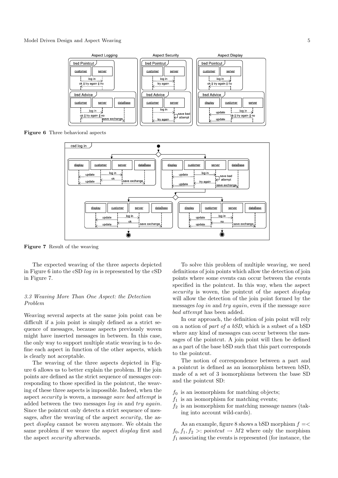

**Figure 6** Three behavioral aspects



**Figure 7** Result of the weaving

The expected weaving of the three aspects depicted in Figure 6 into the cSD log in is represented by the cSD in Figure 7.

# *3.3 Weaving More Than One Aspect: the Detection Problem*

Weaving several aspects at the same join point can be difficult if a join point is simply defined as a strict sequence of messages, because aspects previously woven might have inserted messages in between. In this case, the only way to support multiple static weaving is to define each aspect in function of the other aspects, which is clearly not acceptable.

The weaving of the three aspects depicted in Figure 6 allows us to better explain the problem. If the join points are defined as the strict sequence of messages corresponding to those specified in the pointcut, the weaving of these three aspects is impossible. Indeed, when the aspect security is woven, a message save bad attempt is added between the two messages *log in* and try again. Since the pointcut only detects a strict sequence of messages, after the weaving of the aspect *security*, the aspect display cannot be woven anymore. We obtain the same problem if we weave the aspect display first and the aspect security afterwards.

To solve this problem of multiple weaving, we need definitions of join points which allow the detection of join points where some events can occur between the events specified in the pointcut. In this way, when the aspect security is woven, the pointcut of the aspect *display* will allow the detection of the join point formed by the messages log in and try again, even if the message save bad attempt has been added.

In our approach, the definition of join point will rely on a notion of *part of a bSD*, which is a subset of a bSD where any kind of messages can occur between the messages of the pointcut. A join point will then be defined as a part of the base bSD such that this part corresponds to the pointcut.

The notion of correspondence between a part and a pointcut is defined as an isomorphism between bSD, made of a set of 3 isomorphisms between the base SD and the pointcut SD:

- $f_0$  is an isomorphism for matching objects;
- $f_1$  is an isomorphism for matching events;
- $f_2$  is an isomorphism for matching message names (taking into account wild-cards).

As an example, figure 8 shows a bSD morphism  $f = \lt$  $f_0, f_1, f_2 >: pointcut \rightarrow M2$  where only the morphism  $f_1$  associating the events is represented (for instance, the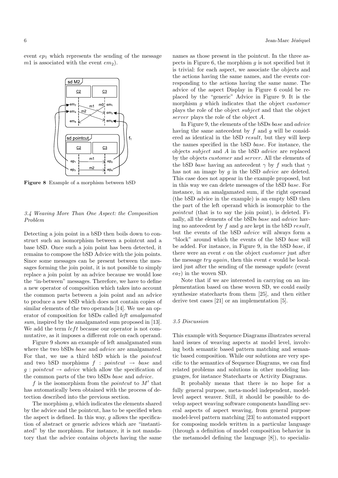event  $ep_1$  which represents the sending of the message  $m1$  is associated with the event  $em_2$ ).



**Figure 8** Example of a morphism between bSD

## *3.4 Weaving More Than One Aspect: the Composition Problem*

Detecting a join point in a bSD then boils down to construct such an isomorphism between a pointcut and a base bSD. Once such a join point has been detected, it remains to compose the bSD Advice with the join points. Since some messages can be present between the messages forming the join point, it is not possible to simply replace a join point by an advice because we would lose the "in-between" messages. Therefore, we have to define a new operator of composition which takes into account the common parts between a join point and an advice to produce a new bSD which does not contain copies of similar elements of the two operands [14]. We use an operator of composition for bSDs called *left amalgamated sum*, inspired by the amalgamated sum proposed in [13]. We add the term  $left$  test because our operator is not commutative, as it imposes a different role on each operand.

Figure 9 shows an example of left amalgamated sum where the two bSDs *base* and *advice* are amalgamated. For that, we use a third bSD which is the pointcut and two bSD morphisms  $f : pointcut \rightarrow base$  and  $g : pointcut \rightarrow advice$  which allow the specification of the common parts of the two bSDs base and advice.

f is the isomorphism from the *pointcut* to  $M'$  that has automatically been obtained with the process of detection described into the previous section.

The morphism g, which indicates the elements shared by the advice and the pointcut, has to be specified when the aspect is defined. In this way,  $q$  allows the specification of abstract or generic advices which are "instantiated" by the morphism. For instance, it is not mandatory that the advice contains objects having the same names as those present in the pointcut. In the three aspects in Figure 6, the morphism  $q$  is not specified but it is trivial: for each aspect, we associate the objects and the actions having the same names, and the events corresponding to the actions having the same name. The advice of the aspect Display in Figure 6 could be replaced by the "generic" Advice in Figure 9. It is the morphism *a* which indicates that the object *customer* plays the role of the object subject and that the object server plays the role of the object A.

In Figure 9, the elements of the bSDs base and advice having the same antecedent by  $f$  and  $g$  will be considered as identical in the bSD result, but they will keep the names specified in the bSD base. For instance, the objects subject and A in the bSD advice are replaced by the objects customer and server. All the elements of the bSD base having an antecedent  $\gamma$  by f such that  $\gamma$ has not an image by  $q$  in the bSD *advice* are deleted. This case does not appear in the example proposed, but in this way we can delete messages of the bSD base. For instance, in an amalgamated sum, if the right operand (the bSD advice in the example) is an empty bSD then the part of the left operand which is isomorphic to the pointcut (that is to say the join point), is deleted. Finally, all the elements of the bSDs base and advice having no antecedent by  $f$  and  $g$  are kept in the bSD result, but the events of the bSD advice will always form a "block" around which the events of the bSD base will be added. For instance, in Figure 9, in the bSD base, if there were an event e on the object customer just after the message  $try$  again, then this event  $e$  would be localized just after the sending of the message update (event  $ea_7$ ) in the woven SD.

Note that if we are interested in carrying on an implementation based on these woven SD, we could easily synthesize statecharts from them [25], and then either derive test cases [21] or an implementation [5].

#### *3.5 Discussion*

This example with Sequence Diagrams illustrates several hard issues of weaving aspects at model level, involving both semantic based pattern matching and semantic based composition. While our solutions are very specific to the semantics of Sequence Diagrams, we can find related problems and solutions in other modeling languages, for instance Statecharts or Activity Diagrams.

It probably means that there is no hope for a fully general purpose, meta-model independent, modellevel aspect weaver. Still, it should be possible to develop aspect weaving software components handling several aspects of aspect weaving, from general purpose model-level pattern matching [23] to automated support for composing models written in a particular language (through a definition of model composition behavior in the metamodel defining the language [8]), to specializ-



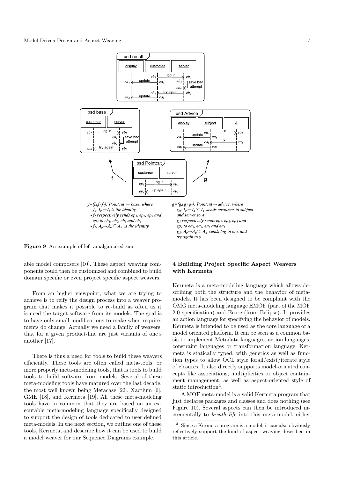

**Figure 9** An example of left amalgamated sum

able model composers [10]. These aspect weaving components could then be customized and combined to build domain specific or even project specific aspect weavers.

From an higher viewpoint, what we are trying to achieve is to reify the design process into a weaver program that makes it possible to re-build as often as it is need the target software from its models. The goal is to have only small modifications to make when requirements do change. Actually we need a family of weavers, that for a given product-line are just variants of one's another [17].

There is thus a need for tools to build these weavers efficiently. These tools are often called meta-tools, or more properly meta-modeling tools, that is tools to build tools to build software from models. Several of these meta-modeling tools have matured over the last decade, the most well known being Metacase [22], Xactium [6], GME [18], and Kermeta [19]. All these meta-modeling tools have in common that they are based on an executable meta-modeling language specifically designed to support the design of tools dedicated to user defined meta-models. In the next section, we outline one of these tools, Kermeta, and describe how it can be used to build a model weaver for our Sequence Diagrams example.

# **4 Building Project Specific Aspect Weavers with Kermeta**

Kermeta is a meta-modeling language which allows describing both the structure and the behavior of metamodels. It has been designed to be compliant with the OMG meta-modeling language EMOF (part of the MOF 2.0 specification) and Ecore (from Eclipse). It provides an action language for specifying the behavior of models. Kermeta is intended to be used as the core language of a model oriented platform. It can be seen as a common basis to implement Metadata languages, action languages, constraint languages or transformation language. Kermeta is statically typed, with generics as well as function types to allow OCL style forall/exist/iterate style of closures. It also directly supports model-oriented concepts like associations, multiplicities or object containment management, as well as aspect-oriented style of static introduction<sup>2</sup>.

A MOF meta-model is a valid Kermeta program that just declares packages and classes and does nothing (see Figure 10). Several aspects can then be introduced incrementally to *breath life* into this meta-model, either

<sup>2</sup> Since a Kermeta program is a model, it can also obviously reflectively support the kind of aspect weaving described in this article.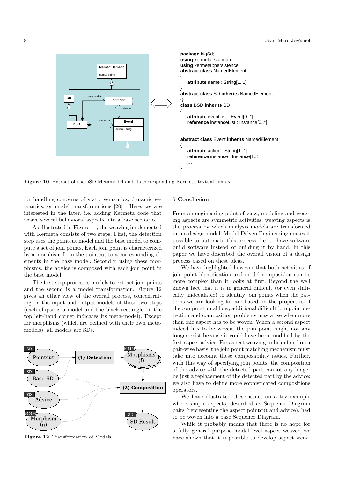

**Figure 10** Extract of the bSD Metamodel and its corresponding Kermeta textual syntax

for handling concerns of static semantics, dynamic semantics, or model transformations [20] . Here, we are interested in the later, i.e. adding Kermeta code that weave several behavioral aspects into a base scenario.

As illustrated in Figure 11, the weaving implemented with Kermeta consists of two steps. First, the detection step uses the pointcut model and the base model to compute a set of join points. Each join point is characterized by a morphism from the pointcut to a corresponding elements in the base model. Secondly, using these morphisms, the advice is composed with each join point in the base model.

The first step processes models to extract join points and the second is a model transformation. Figure 12 gives an other view of the overall process, concentrating on the input and output models of these two steps (each ellipse is a model and the black rectangle on the top left-hand corner indicates its meta-model). Except for morphisms (which are defined with their own metamodels), all models are SDs.



**Figure 12** Transformation of Models

#### **5 Conclusion**

From an engineering point of view, modeling and weaving aspects are symmetric activities: weaving aspects is the process by which analysis models are transformed into a design model. Model Driven Engineering makes it possible to automate this process: i.e. to have software build software instead of building it by hand. In this paper we have described the overall vision of a design process based on these ideas.

We have highlighted however that both activities of join point identification and model composition can be more complex than it looks at first. Beyond the well known fact that it is in general difficult (or even statically undecidable) to identify join points when the patterns we are looking for are based on the properties of the computational flow, additional difficult join point detection and composition problems may arise when more than one aspect has to be woven. When a second aspect indeed has to be woven, the join point might not any longer exist because it could have been modified by the first aspect advice. For aspect weaving to be defined on a pair-wise basis, the join point matching mechanism must take into account these composability issues. Further, with this way of specifying join points, the composition of the advice with the detected part cannot any longer be just a replacement of the detected part by the advice: we also have to define more sophisticated compositions operators.

We have illustrated these issues on a toy example where simple aspects, described as Sequence Diagram pairs (representing the aspect pointcut and advice), had to be woven into a base Sequence Diagram.

While it probably means that there is no hope for a fully general purpose model-level aspect weaver, we have shown that it is possible to develop aspect weav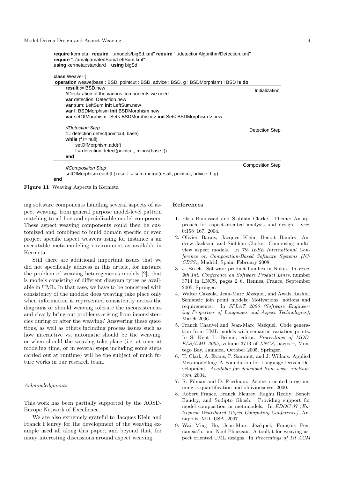**require** "../amalgamatedSum/LeftSum.kmt"

| using kermeta::standard using bigSd                                                      |                         |
|------------------------------------------------------------------------------------------|-------------------------|
| class Weaver {                                                                           |                         |
| <b>operation</b> weave(base: BSD, pointcut: BSD, advice: BSD, q: BSDMorphism): BSD is do |                         |
| $result := BSD.new$                                                                      | Initialization          |
| //Declaration of the various components we need                                          |                         |
| var detection: Detection.new                                                             |                         |
| var sum: LeftSum init LeftSum.new                                                        |                         |
| var f: BSDMorphism init BSDMorphism.new                                                  |                         |
| <b>var</b> setOfMorphism : Set< BSDMorphism > init Set< BSDMorphism >.new                |                         |
| //Detection Step                                                                         | Detection Step          |
| $f =$ detection detect(pointcut, base)                                                   |                         |
| while $(f \equiv null)$                                                                  |                         |
| setOfMorphism.add(f)                                                                     |                         |
| $f =$ detection detect(pointcut, minus(base,f))                                          |                         |
| end                                                                                      |                         |
|                                                                                          | <b>Composition Step</b> |
| <b>I/Composition Step</b>                                                                |                         |
| setOfMorphism.each{f   result := sum.merge(result, pointcut, advice, f, g)               |                         |
| end                                                                                      |                         |

**require** kermeta **require** "../models/bigSd.kmt" **require** "../detectionAlgorithm/Detection.kmt"

**Figure 11** Weaving Aspects in Kermeta

ing software components handling several aspects of aspect weaving, from general purpose model-level pattern matching to ad hoc and specializable model composers. These aspect weaving components could then be customized and combined to build domain specific or even project specific aspect weavers using for instance a an executable meta-modeling environment as available in Kermeta.

Still there are additional important issues that we did not specifically address in this article, for instance the problem of weaving heterogeneous models [2], that is models consisting of different diagram types as available in UML. In that case, we have to be concerned with consistency of the models: does weaving take place only when information is represented consistently across the diagrams or should weaving tolerate the inconsistencies and clearly bring out problems arising from inconsistencies during or after the weaving? Answering these questions, as well as others including process issues such as how interactive vs. automatic should be the weaving, or when should the weaving take place (i.e. at once at modeling time, or in several steps including some steps carried out at runtime) will be the subject of much future works in our research team.

#### *Acknowledgments*

This work has been partially supported by the AOSD-Europe Network of Excellence.

We are also extremely grateful to Jacques Klein and Franck Fleurey for the development of the weaving example used all along this paper, and beyond that, for many interesting discussions around aspect weaving.

#### **References**

- 1. Elisa Baniassad and Siobhán Clarke. Theme: An approach for aspect-oriented analysis and design. icse, 0:158–167, 2004.
- 2. Olivier Barais, Jacques Klein, Benoit Baudry, Andrew Jackson, and Siobhan Clarke. Composing multiview aspect models. In 7th IEEE International Conference on Composition-Based Software Systems (IC-CBSS), Madrid, Spain, February 2008.
- 3. J. Bosch. Software product families in Nokia. In Proc. 9th Int. Conference on Software Product Lines, number 3714 in LNCS, pages 2–6, Rennes, France, September 2005. Springer.
- 4. Walter Cazzola, Jean-Marc Jézéquel, and Awais Rashid. Semantic join point models: Motivations, notions and requirements. In SPLAT 2006 (Software Engineering Properties of Languages and Aspect Technologies), March 2006.
- 5. Franck Chauvel and Jean-Marc Jézéquel. Code generation from UML models with semantic variation points. In S. Kent L. Briand, editor, Proceedings of MOD- $ELS/UML'2005$ , volume 3713 of  $LNCS$ , pages  $-$ , Montego Bay, Jamaica, October 2005. Springer.
- 6. T. Clark, A. Evans, P. Sammut, and J. Willans. Applied Metamodelling: A Foundation for Language Driven Development. Available for download from www. xactium. com, 2004.
- 7. R. Filman and D. Friedman. Aspect-oriented programming is quantification and obliviousness, 2000.
- 8. Robert France, Franck Fleurey, Raghu Reddy, Benoit Baudry, and Sudipto Ghosh. Providing support for model composition in metamodels. In EDOC'07 (Entreprise Distributed Object Computing Conference), Annapolis, MD, USA, 2007.
- 9. Wai Ming Ho, Jean-Marc Jézéquel, François Pennaneac'h, and Noël Plouzeau. A toolkit for weaving aspect oriented UML designs. In Proceedings of 1st ACM